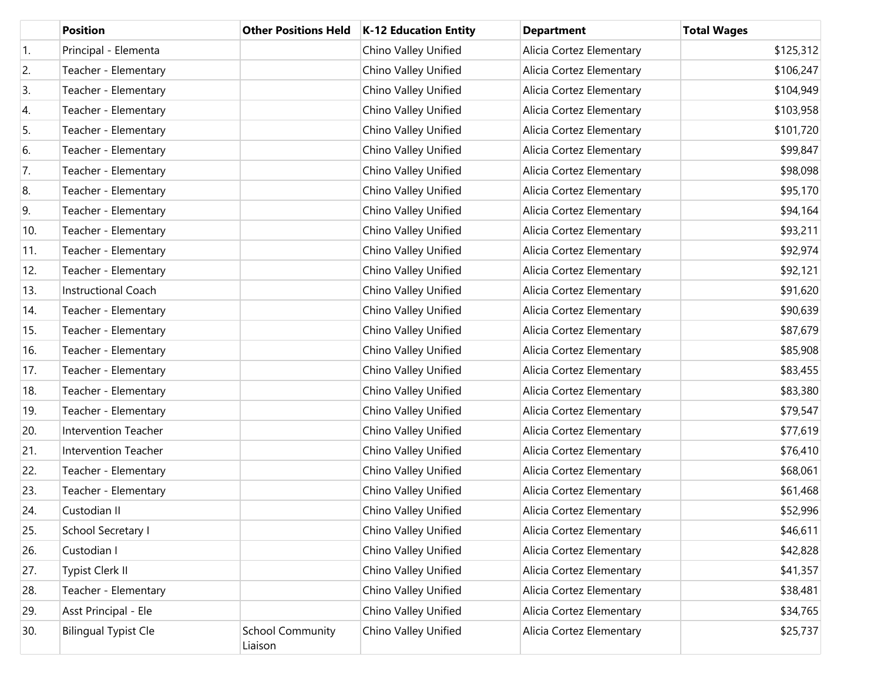|                  | <b>Position</b>             | <b>Other Positions Held</b>        | <b>K-12 Education Entity</b> | <b>Department</b>        | <b>Total Wages</b> |
|------------------|-----------------------------|------------------------------------|------------------------------|--------------------------|--------------------|
| $\overline{1}$ . | Principal - Elementa        |                                    | Chino Valley Unified         | Alicia Cortez Elementary | \$125,312          |
| 2.               | Teacher - Elementary        |                                    | Chino Valley Unified         | Alicia Cortez Elementary | \$106,247          |
| 3.               | Teacher - Elementary        |                                    | Chino Valley Unified         | Alicia Cortez Elementary | \$104,949          |
| 4.               | Teacher - Elementary        |                                    | Chino Valley Unified         | Alicia Cortez Elementary | \$103,958          |
| 5.               | Teacher - Elementary        |                                    | Chino Valley Unified         | Alicia Cortez Elementary | \$101,720          |
| 6.               | Teacher - Elementary        |                                    | Chino Valley Unified         | Alicia Cortez Elementary | \$99,847           |
| 7.               | Teacher - Elementary        |                                    | Chino Valley Unified         | Alicia Cortez Elementary | \$98,098           |
| 8.               | Teacher - Elementary        |                                    | Chino Valley Unified         | Alicia Cortez Elementary | \$95,170           |
| 9.               | Teacher - Elementary        |                                    | Chino Valley Unified         | Alicia Cortez Elementary | \$94,164           |
| 10.              | Teacher - Elementary        |                                    | Chino Valley Unified         | Alicia Cortez Elementary | \$93,211           |
| 11.              | Teacher - Elementary        |                                    | Chino Valley Unified         | Alicia Cortez Elementary | \$92,974           |
| 12.              | Teacher - Elementary        |                                    | Chino Valley Unified         | Alicia Cortez Elementary | \$92,121           |
| 13.              | <b>Instructional Coach</b>  |                                    | Chino Valley Unified         | Alicia Cortez Elementary | \$91,620           |
| 14.              | Teacher - Elementary        |                                    | Chino Valley Unified         | Alicia Cortez Elementary | \$90,639           |
| 15.              | Teacher - Elementary        |                                    | Chino Valley Unified         | Alicia Cortez Elementary | \$87,679           |
| 16.              | Teacher - Elementary        |                                    | Chino Valley Unified         | Alicia Cortez Elementary | \$85,908           |
| 17.              | Teacher - Elementary        |                                    | Chino Valley Unified         | Alicia Cortez Elementary | \$83,455           |
| 18.              | Teacher - Elementary        |                                    | Chino Valley Unified         | Alicia Cortez Elementary | \$83,380           |
| 19.              | Teacher - Elementary        |                                    | Chino Valley Unified         | Alicia Cortez Elementary | \$79,547           |
| 20.              | Intervention Teacher        |                                    | Chino Valley Unified         | Alicia Cortez Elementary | \$77,619           |
| 21.              | <b>Intervention Teacher</b> |                                    | Chino Valley Unified         | Alicia Cortez Elementary | \$76,410           |
| 22.              | Teacher - Elementary        |                                    | Chino Valley Unified         | Alicia Cortez Elementary | \$68,061           |
| 23.              | Teacher - Elementary        |                                    | Chino Valley Unified         | Alicia Cortez Elementary | \$61,468           |
| 24.              | Custodian II                |                                    | Chino Valley Unified         | Alicia Cortez Elementary | \$52,996           |
| 25.              | School Secretary I          |                                    | Chino Valley Unified         | Alicia Cortez Elementary | \$46,611           |
| 26.              | Custodian I                 |                                    | Chino Valley Unified         | Alicia Cortez Elementary | \$42,828           |
| 27.              | Typist Clerk II             |                                    | Chino Valley Unified         | Alicia Cortez Elementary | \$41,357           |
| 28.              | Teacher - Elementary        |                                    | Chino Valley Unified         | Alicia Cortez Elementary | \$38,481           |
| 29.              | Asst Principal - Ele        |                                    | Chino Valley Unified         | Alicia Cortez Elementary | \$34,765           |
| 30.              | <b>Bilingual Typist Cle</b> | <b>School Community</b><br>Liaison | Chino Valley Unified         | Alicia Cortez Elementary | \$25,737           |